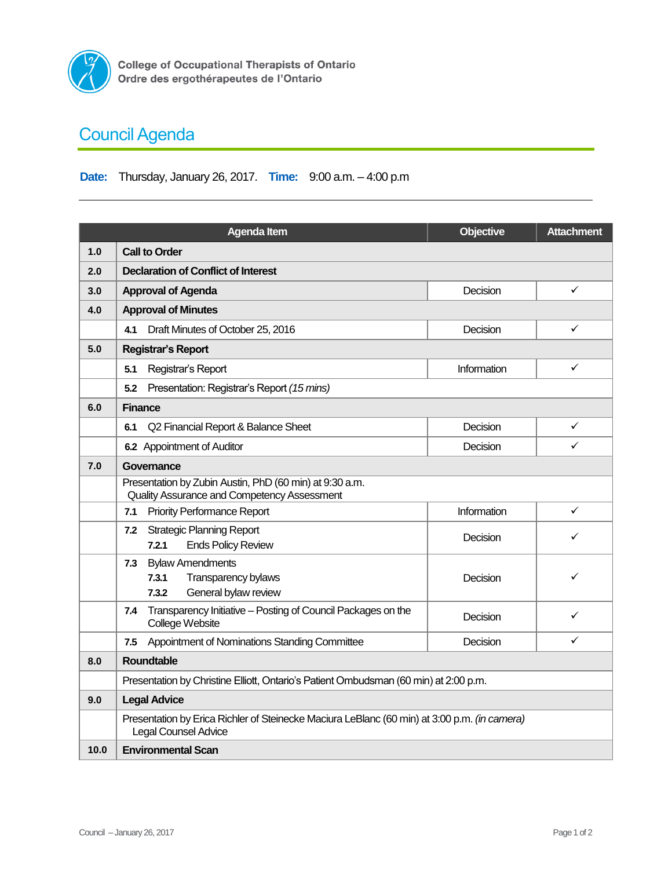

## **Council Agenda**

## **Date:** Thursday, January 26, 2017. **Time:** 9:00 a.m. – 4:00 p.m

|      | <b>Agenda Item</b>                                                                                                          | <b>Objective</b> | <b>Attachment</b> |  |  |  |
|------|-----------------------------------------------------------------------------------------------------------------------------|------------------|-------------------|--|--|--|
| 1.0  | <b>Call to Order</b>                                                                                                        |                  |                   |  |  |  |
| 2.0  | <b>Declaration of Conflict of Interest</b>                                                                                  |                  |                   |  |  |  |
| 3.0  | <b>Approval of Agenda</b>                                                                                                   | Decision         | ✓                 |  |  |  |
| 4.0  | <b>Approval of Minutes</b>                                                                                                  |                  |                   |  |  |  |
|      | Draft Minutes of October 25, 2016<br>4.1                                                                                    | Decision         | ✓                 |  |  |  |
| 5.0  | <b>Registrar's Report</b>                                                                                                   |                  |                   |  |  |  |
|      | Registrar's Report<br>5.1                                                                                                   | Information      | ✓                 |  |  |  |
|      | Presentation: Registrar's Report (15 mins)<br>5.2                                                                           |                  |                   |  |  |  |
| 6.0  | <b>Finance</b>                                                                                                              |                  |                   |  |  |  |
|      | Q2 Financial Report & Balance Sheet<br>6.1                                                                                  | Decision         | ✓                 |  |  |  |
|      | 6.2 Appointment of Auditor                                                                                                  | Decision         | ✓                 |  |  |  |
| 7.0  | Governance                                                                                                                  |                  |                   |  |  |  |
|      | Presentation by Zubin Austin, PhD (60 min) at 9:30 a.m.<br>Quality Assurance and Competency Assessment                      |                  |                   |  |  |  |
|      | <b>Priority Performance Report</b><br>7.1                                                                                   | Information      | $\checkmark$      |  |  |  |
|      | <b>Strategic Planning Report</b><br>7.2<br><b>Ends Policy Review</b><br>7.2.1                                               | Decision         | ✓                 |  |  |  |
|      | <b>Bylaw Amendments</b><br>7.3<br>Transparency bylaws<br>7.3.1<br>General bylaw review<br>7.3.2                             | Decision         | ✓                 |  |  |  |
|      | Transparency Initiative - Posting of Council Packages on the<br>7.4<br>College Website                                      | Decision         | ✓                 |  |  |  |
|      | Appointment of Nominations Standing Committee<br>7.5                                                                        | Decision         | ✓                 |  |  |  |
| 8.0  | <b>Roundtable</b>                                                                                                           |                  |                   |  |  |  |
|      | Presentation by Christine Elliott, Ontario's Patient Ombudsman (60 min) at 2:00 p.m.                                        |                  |                   |  |  |  |
| 9.0  | <b>Legal Advice</b>                                                                                                         |                  |                   |  |  |  |
|      | Presentation by Erica Richler of Steinecke Maciura LeBlanc (60 min) at 3:00 p.m. (in camera)<br><b>Legal Counsel Advice</b> |                  |                   |  |  |  |
| 10.0 | <b>Environmental Scan</b>                                                                                                   |                  |                   |  |  |  |